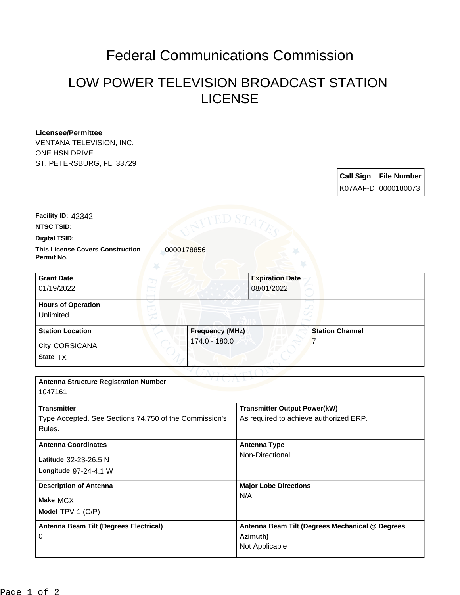## Federal Communications Commission

## LOW POWER TELEVISION BROADCAST STATION LICENSE

## **Licensee/Permittee**

VENTANA TELEVISION, INC. ONE HSN DRIVE ST. PETERSBURG, FL, 33729

| <b>Call Sign</b> | <b>File Number</b>  |
|------------------|---------------------|
|                  | K07AAF-D 0000180073 |

**NTSC TSID: Facility ID:** 42342

**Digital TSID:**

**This License Covers Construction**  0000178856 **Permit No.**

| <b>Grant Date</b><br>01/19/2022        | <b>Expiration Date</b><br>08/01/2022 |                        |
|----------------------------------------|--------------------------------------|------------------------|
| <b>Hours of Operation</b><br>Unlimited |                                      |                        |
| <b>Station Location</b>                | <b>Frequency (MHz)</b>               | <b>Station Channel</b> |
| <b>City CORSICANA</b><br>State TX      | 174.0 - 180.0                        |                        |

| <b>Antenna Structure Registration Number</b>           |                                                 |  |  |
|--------------------------------------------------------|-------------------------------------------------|--|--|
|                                                        |                                                 |  |  |
| <b>Transmitter</b>                                     | <b>Transmitter Output Power(kW)</b>             |  |  |
| Type Accepted. See Sections 74.750 of the Commission's | As required to achieve authorized ERP.          |  |  |
|                                                        |                                                 |  |  |
| Rules.                                                 |                                                 |  |  |
| <b>Antenna Coordinates</b>                             | Antenna Type                                    |  |  |
| Latitude 32-23-26.5 N                                  | Non-Directional                                 |  |  |
|                                                        |                                                 |  |  |
| Longitude 97-24-4.1 W                                  |                                                 |  |  |
| <b>Description of Antenna</b>                          | <b>Major Lobe Directions</b>                    |  |  |
| Make MCX                                               | N/A                                             |  |  |
|                                                        |                                                 |  |  |
| Model TPV-1 (C/P)                                      |                                                 |  |  |
| Antenna Beam Tilt (Degrees Electrical)                 | Antenna Beam Tilt (Degrees Mechanical @ Degrees |  |  |
| $\Omega$                                               | Azimuth)                                        |  |  |
|                                                        | Not Applicable                                  |  |  |
|                                                        |                                                 |  |  |